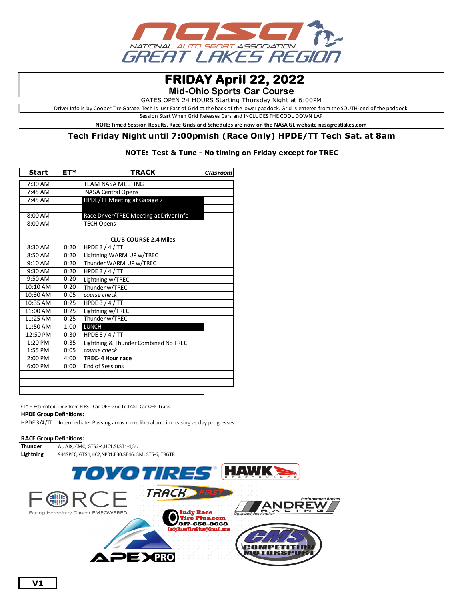

# **FRIDAY April 22, 2022**

**Mid-Ohio Sports Car Course**

GATES OPEN 24 HOURS Starting Thursday Night at 6:00PM

Driver Info is by Cooper Tire Garage. Tech is just East of Grid at the back of the lower paddock. Grid is entered from the SOUTH-end of the paddock.

Session Start When Grid Releases Cars and INCLUDES THE COOL DOWN LAP

**NOTE: Timed Session Results, Race Grids and Schedules are now on the NASA GL website nasagreatlakes.com**

# **Tech Friday Night until 7:00pmish (Race Only) HPDE/TT Tech Sat. at 8am**

### **NOTE: Test & Tune - No timing on Friday except for TREC**

| ET*<br><b>Start</b> |      | <b>TRACK</b>                            | Clasroom |
|---------------------|------|-----------------------------------------|----------|
| 7:30 AM             |      | <b>TEAM NASA MEETING</b>                |          |
| $7:45$ AM           |      | <b>NASA Central Opens</b>               |          |
| $7:45$ AM           |      | HPDE/TT Meeting at Garage 7             |          |
|                     |      |                                         |          |
| 8:00 AM             |      | Race Driver/TREC Meeting at Driver Info |          |
| 8:00 AM             |      | <b>TECH Opens</b>                       |          |
|                     |      |                                         |          |
|                     |      | <b>CLUB COURSE 2.4 Miles</b>            |          |
| 8:30 AM             | 0:20 | HPDE $3/4/TT$                           |          |
| 8:50 AM             | 0:20 | Lightning WARM UP w/TREC                |          |
| $9:10$ AM           | 0:20 | Thunder WARM UP w/TREC                  |          |
| $9:30$ AM           | 0:20 | <b>HPDE 3/4/TT</b>                      |          |
| 9:50 AM             | 0:20 | Lightning w/TREC                        |          |
| 10:10 AM            | 0:20 | Thunder w/TREC                          |          |
| 10:30 AM            | 0:05 | course check                            |          |
| 10:35 AM            | 0:25 | HPDE $3/4/TT$                           |          |
| 11:00 AM            | 0:25 | Lightning w/TREC                        |          |
| 11:25 AM            | 0:25 | Thunder w/TREC                          |          |
| 11:50 AM            | 1:00 | <b>LUNCH</b>                            |          |
| 12:50 PM            | 0:30 | HPDE $3/4/TT$                           |          |
| $1:20$ PM           | 0:35 | Lightning & Thunder Combined No TREC    |          |
| $1:55$ PM           | 0:05 | course check                            |          |
| 2:00 PM             | 4:00 | <b>TREC-4 Hour race</b>                 |          |
| 6:00 PM             | 0:00 | <b>End of Sessions</b>                  |          |
|                     |      |                                         |          |
|                     |      |                                         |          |
|                     |      |                                         |          |

ET\* = Estimated Time from FIRST Car OFF Grid to LAST Car OFF Track

#### **HPDE Group Definitions:**

HPDE 3/4/TT Intermediate- Passing areas more liberal and increasing as day progresses.

## **RACE Group Definitions:**

**Thunder** AI, AIX, CMC, GTS2-4,HC1,SI,ST1-4,SU **Lightning** 944SPEC, GTS1,HC2,NP01,E30,SE46, SM, ST5-6, TRGTR